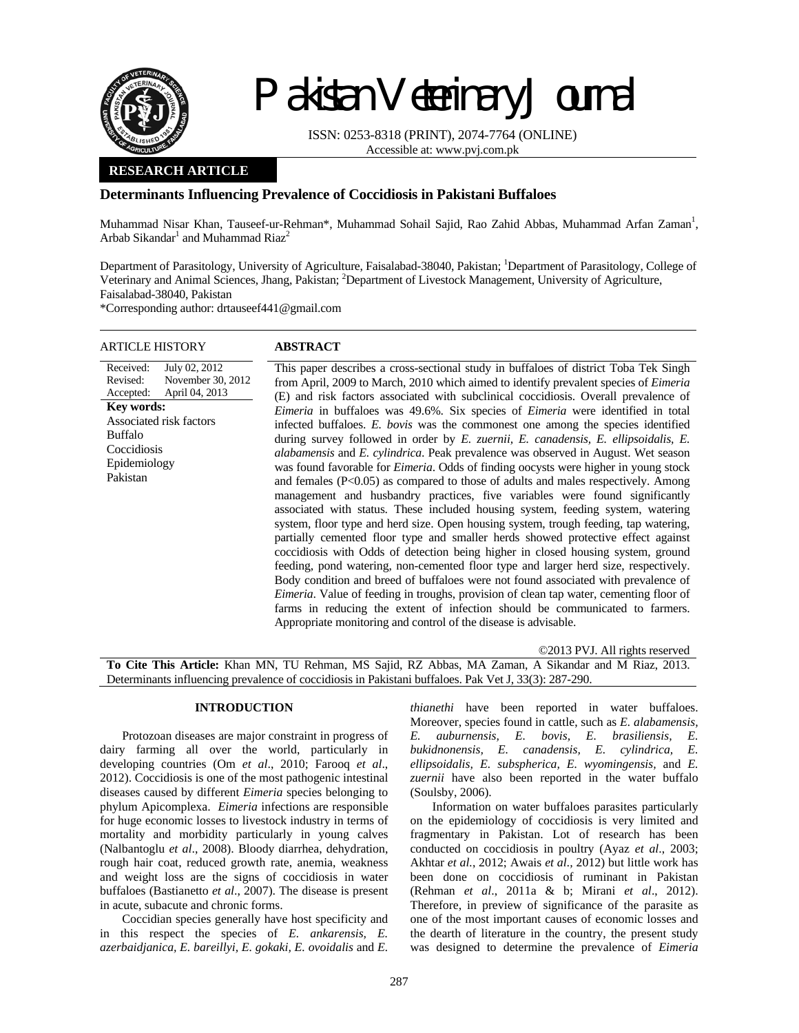

# Pakistan Veterinary Journal

ISSN: 0253-8318 (PRINT), 2074-7764 (ONLINE) Accessible at: www.pvj.com.pk

## **RESEARCH ARTICLE**

## **Determinants Influencing Prevalence of Coccidiosis in Pakistani Buffaloes**

Muhammad Nisar Khan, Tauseef-ur-Rehman\*, Muhammad Sohail Sajid, Rao Zahid Abbas, Muhammad Arfan Zaman<sup>1</sup>, Arbab Sikandar<sup>1</sup> and Muhammad Riaz<sup>2</sup>

Department of Parasitology, University of Agriculture, Faisalabad-38040, Pakistan; <sup>1</sup>Department of Parasitology, College of Veterinary and Animal Sciences, Jhang, Pakistan; <sup>2</sup>Department of Livestock Management, University of Agriculture, Faisalabad-38040, Pakistan

\*Corresponding author: drtauseef441@gmail.com

| ARTICLE HISTORY                                                                                                                                                                           | <b>ABSTRACT</b>                                                                                                                                                                                                                                                                                                                                                                                                                                                                                                                                                                                                                                                                                                                                                                                                                                                                                                                                                                                                                                                                                                                                                                                                                                                                                                                                                                                                                                                                                                                                                                                                                                                                                                   |
|-------------------------------------------------------------------------------------------------------------------------------------------------------------------------------------------|-------------------------------------------------------------------------------------------------------------------------------------------------------------------------------------------------------------------------------------------------------------------------------------------------------------------------------------------------------------------------------------------------------------------------------------------------------------------------------------------------------------------------------------------------------------------------------------------------------------------------------------------------------------------------------------------------------------------------------------------------------------------------------------------------------------------------------------------------------------------------------------------------------------------------------------------------------------------------------------------------------------------------------------------------------------------------------------------------------------------------------------------------------------------------------------------------------------------------------------------------------------------------------------------------------------------------------------------------------------------------------------------------------------------------------------------------------------------------------------------------------------------------------------------------------------------------------------------------------------------------------------------------------------------------------------------------------------------|
| July 02, 2012<br>Received:<br>Revised:<br>November 30, 2012<br>April 04, 2013<br>Accepted:<br>Key words:<br>Associated risk factors<br>Buffalo<br>Coccidiosis<br>Epidemiology<br>Pakistan | This paper describes a cross-sectional study in buffaloes of district Toba Tek Singh<br>from April, 2009 to March, 2010 which aimed to identify prevalent species of <i>Eimeria</i><br>(E) and risk factors associated with subclinical coccidiosis. Overall prevalence of<br><i>Eimeria</i> in buffaloes was 49.6%. Six species of <i>Eimeria</i> were identified in total<br>infected buffaloes. E. bovis was the commonest one among the species identified<br>during survey followed in order by E. zuernii, E. canadensis, E. ellipsoidalis, E.<br><i>alabamensis</i> and <i>E. cylindrica</i> . Peak prevalence was observed in August. Wet season<br>was found favorable for <i>Eimeria</i> . Odds of finding oocysts were higher in young stock<br>and females $(P<0.05)$ as compared to those of adults and males respectively. Among<br>management and husbandry practices, five variables were found significantly<br>associated with status. These included housing system, feeding system, watering<br>system, floor type and herd size. Open housing system, trough feeding, tap watering,<br>partially cemented floor type and smaller herds showed protective effect against<br>coccidiosis with Odds of detection being higher in closed housing system, ground<br>feeding, pond watering, non-cemented floor type and larger herd size, respectively.<br>Body condition and breed of buffaloes were not found associated with prevalence of<br><i>Eimeria.</i> Value of feeding in troughs, provision of clean tap water, cementing floor of<br>farms in reducing the extent of infection should be communicated to farmers.<br>Appropriate monitoring and control of the disease is advisable. |
|                                                                                                                                                                                           |                                                                                                                                                                                                                                                                                                                                                                                                                                                                                                                                                                                                                                                                                                                                                                                                                                                                                                                                                                                                                                                                                                                                                                                                                                                                                                                                                                                                                                                                                                                                                                                                                                                                                                                   |

©2013 PVJ. All rights reserved

**To Cite This Article:** Khan MN, TU Rehman, MS Sajid, RZ Abbas, MA Zaman, A Sikandar and M Riaz, 2013. Determinants influencing prevalence of coccidiosis in Pakistani buffaloes. Pak Vet J, 33(3): 287-290.

#### **INTRODUCTION**

Protozoan diseases are major constraint in progress of dairy farming all over the world, particularly in developing countries (Om *et al*., 2010; Farooq *et al*., 2012). Coccidiosis is one of the most pathogenic intestinal diseases caused by different *Eimeria* species belonging to phylum Apicomplexa. *Eimeria* infections are responsible for huge economic losses to livestock industry in terms of mortality and morbidity particularly in young calves (Nalbantoglu *et al*., 2008). Bloody diarrhea, dehydration, rough hair coat, reduced growth rate, anemia, weakness and weight loss are the signs of coccidiosis in water buffaloes (Bastianetto *et al*., 2007). The disease is present in acute, subacute and chronic forms.

Coccidian species generally have host specificity and in this respect the species of *E. ankarensis, E. azerbaidjanica, E. bareillyi, E. gokaki, E. ovoidalis* and *E.* 

*thianethi* have been reported in water buffaloes. Moreover, species found in cattle, such as *E. alabamensis, E. auburnensis, E. bovis, E. brasiliensis, E. bukidnonensis, E. canadensis, E. cylindrica, E. ellipsoidalis, E. subspherica, E. wyomingensis,* and *E. zuernii* have also been reported in the water buffalo (Soulsby, 2006).

Information on water buffaloes parasites particularly on the epidemiology of coccidiosis is very limited and fragmentary in Pakistan. Lot of research has been conducted on coccidiosis in poultry (Ayaz *et al*., 2003; Akhtar *et al.*, 2012; Awais *et al.,* 2012) but little work has been done on coccidiosis of ruminant in Pakistan (Rehman *et al*., 2011a & b; Mirani *et al*., 2012). Therefore, in preview of significance of the parasite as one of the most important causes of economic losses and the dearth of literature in the country, the present study was designed to determine the prevalence of *Eimeria*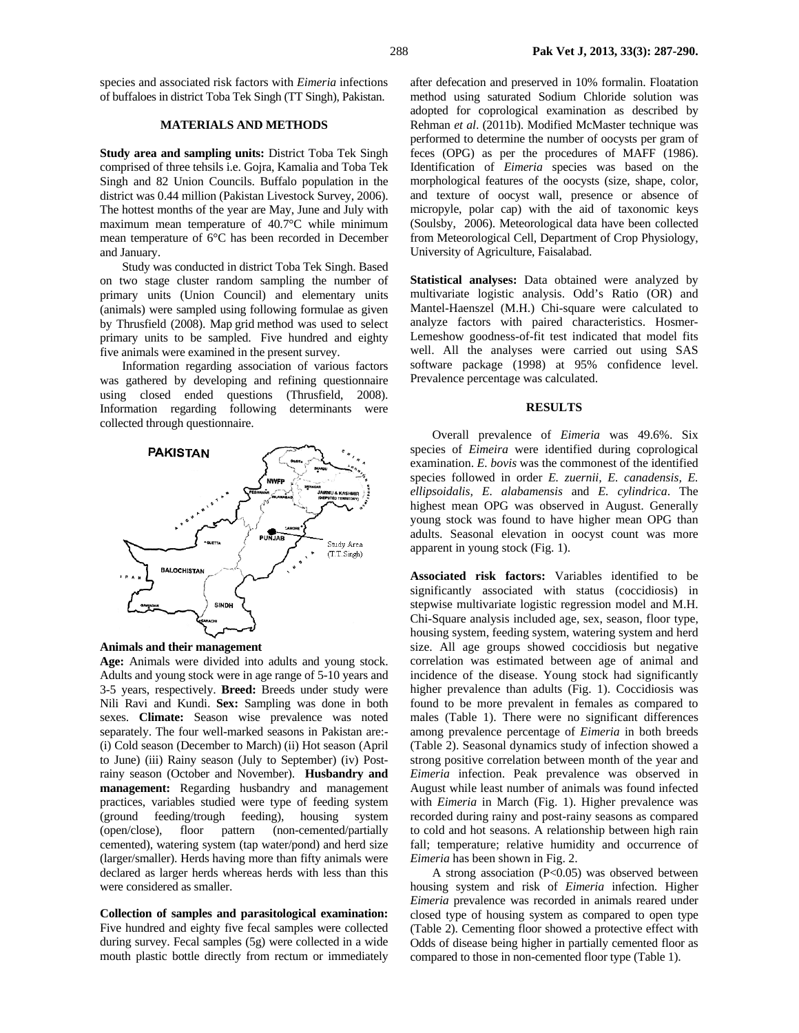species and associated risk factors with *Eimeria* infections of buffaloes in district Toba Tek Singh (TT Singh), Pakistan.

### **MATERIALS AND METHODS**

**Study area and sampling units:** District Toba Tek Singh comprised of three tehsils i.e. Gojra, Kamalia and Toba Tek Singh and 82 Union Councils. Buffalo population in the district was 0.44 million (Pakistan Livestock Survey, 2006). The hottest months of the year are May, June and July with maximum mean temperature of 40.7°C while minimum mean temperature of 6°C has been recorded in December and January.

Study was conducted in district Toba Tek Singh. Based on two stage cluster random sampling the number of primary units (Union Council) and elementary units (animals) were sampled using following formulae as given by Thrusfield (2008). Map grid method was used to select primary units to be sampled. Five hundred and eighty five animals were examined in the present survey.

Information regarding association of various factors was gathered by developing and refining questionnaire using closed ended questions (Thrusfield, 2008). Information regarding following determinants were collected through questionnaire.





**Age:** Animals were divided into adults and young stock. Adults and young stock were in age range of 5-10 years and 3-5 years, respectively. **Breed:** Breeds under study were Nili Ravi and Kundi. **Sex:** Sampling was done in both sexes. **Climate:** Season wise prevalence was noted separately. The four well-marked seasons in Pakistan are:- (i) Cold season (December to March) (ii) Hot season (April to June) (iii) Rainy season (July to September) (iv) Postrainy season (October and November). **Husbandry and management:** Regarding husbandry and management practices, variables studied were type of feeding system (ground feeding/trough feeding), housing system (open/close), floor pattern (non-cemented/partially cemented), watering system (tap water/pond) and herd size (larger/smaller). Herds having more than fifty animals were declared as larger herds whereas herds with less than this were considered as smaller.

**Collection of samples and parasitological examination:**  Five hundred and eighty five fecal samples were collected during survey. Fecal samples (5g) were collected in a wide mouth plastic bottle directly from rectum or immediately after defecation and preserved in 10% formalin. Floatation method using saturated Sodium Chloride solution was adopted for coprological examination as described by Rehman *et al*. (2011b). Modified McMaster technique was performed to determine the number of oocysts per gram of feces (OPG) as per the procedures of MAFF (1986). Identification of *Eimeria* species was based on the morphological features of the oocysts (size, shape, color, and texture of oocyst wall, presence or absence of micropyle, polar cap) with the aid of taxonomic keys (Soulsby, 2006). Meteorological data have been collected from Meteorological Cell, Department of Crop Physiology, University of Agriculture, Faisalabad.

**Statistical analyses:** Data obtained were analyzed by multivariate logistic analysis. Odd's Ratio (OR) and Mantel-Haenszel (M.H.) Chi-square were calculated to analyze factors with paired characteristics. Hosmer-Lemeshow goodness-of-fit test indicated that model fits well. All the analyses were carried out using SAS software package (1998) at 95% confidence level. Prevalence percentage was calculated.

#### **RESULTS**

Overall prevalence of *Eimeria* was 49.6%. Six species of *Eimeira* were identified during coprological examination. *E. bovis* was the commonest of the identified species followed in order *E. zuernii, E. canadensis, E. ellipsoidalis, E. alabamensis* and *E. cylindrica*. The highest mean OPG was observed in August. Generally young stock was found to have higher mean OPG than adults. Seasonal elevation in oocyst count was more apparent in young stock (Fig. 1).

**Associated risk factors:** Variables identified to be significantly associated with status (coccidiosis) in stepwise multivariate logistic regression model and M.H. Chi-Square analysis included age, sex, season, floor type, housing system, feeding system, watering system and herd size. All age groups showed coccidiosis but negative correlation was estimated between age of animal and incidence of the disease. Young stock had significantly higher prevalence than adults (Fig. 1). Coccidiosis was found to be more prevalent in females as compared to males (Table 1). There were no significant differences among prevalence percentage of *Eimeria* in both breeds (Table 2). Seasonal dynamics study of infection showed a strong positive correlation between month of the year and *Eimeria* infection. Peak prevalence was observed in August while least number of animals was found infected with *Eimeria* in March (Fig. 1). Higher prevalence was recorded during rainy and post-rainy seasons as compared to cold and hot seasons. A relationship between high rain fall; temperature; relative humidity and occurrence of *Eimeria* has been shown in Fig. 2.

 A strong association (P<0.05) was observed between housing system and risk of *Eimeria* infection. Higher *Eimeria* prevalence was recorded in animals reared under closed type of housing system as compared to open type (Table 2). Cementing floor showed a protective effect with Odds of disease being higher in partially cemented floor as compared to those in non-cemented floor type (Table 1).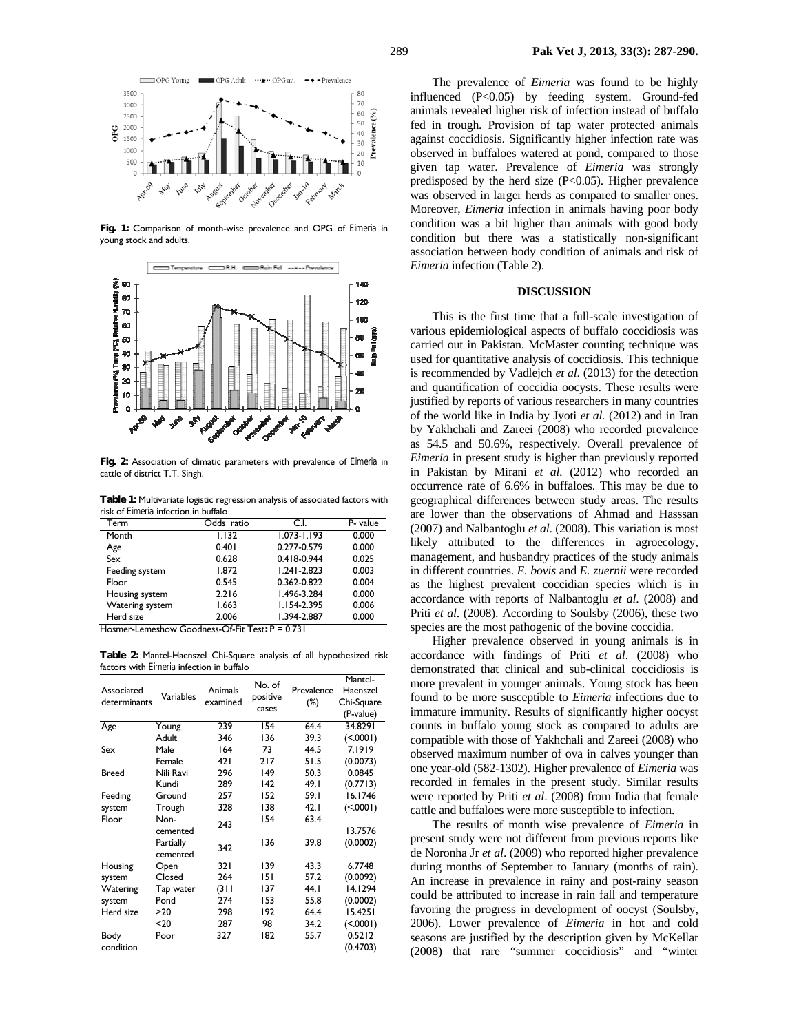20<br>10



OPG Young

3500

3000

> 500  $\theta$



**Fig. 2:** Association of climatic parameters with prevalence of *Eimeria* in cattle of district T.T. Singh.

**Table 1:** Multivariate logistic regression analysis of associated factors with risk of *Eimeria* infection in buffalo

| Term            | Odds ratio | C.I.                                  | P- value |  |  |  |  |
|-----------------|------------|---------------------------------------|----------|--|--|--|--|
| Month           | 1.132      | $1.073 - 1.193$                       | 0.000    |  |  |  |  |
| Age             | 0.401      | 0.277-0.579                           | 0.000    |  |  |  |  |
| Sex             | 0.628      | 0.418-0.944                           | 0.025    |  |  |  |  |
| Feeding system  | 1.872      | $1.241 - 2.823$                       | 0.003    |  |  |  |  |
| Floor           | 0.545      | 0.362-0.822                           | 0.004    |  |  |  |  |
| Housing system  | 2.216      | 1.496-3.284                           | 0.000    |  |  |  |  |
| Watering system | 1.663      | $1.154 - 2.395$                       | 0.006    |  |  |  |  |
| Herd size       | 2.006      | 1.394-2.887                           | 0.000    |  |  |  |  |
| . .<br>.<br>-   | $- - - -$  | $\sim$<br>$\sim$ $\sim$ $\sim$ $\sim$ |          |  |  |  |  |

Hosmer-Lemeshow Goodness-Of-Fit Test**:** P = 0.731

**Table 2:** Mantel-Haenszel Chi-Square analysis of all hypothesized risk factors with *Eimeria* infection in buffalo

| Associated<br>determinants | Variables             | Animals<br>examined | No. of<br>positive<br>cases | Prevalence<br>$(\%)$ | Mantel-<br>Haenszel<br>Chi-Square<br>(P-value) |
|----------------------------|-----------------------|---------------------|-----------------------------|----------------------|------------------------------------------------|
| Age                        | Young                 | 239                 | 154                         | 64.4                 | 34.8291                                        |
|                            | Adult                 | 346                 | 136                         | 39.3                 | (< .0001)                                      |
| Sex                        | Male                  | 164                 | 73                          | 44.5                 | 7.1919                                         |
|                            | Female                | 421                 | 217                         | 51.5                 | (0.0073)                                       |
| Breed                      | Nili Ravi             | 296                 | 149                         | 50.3                 | 0.0845                                         |
|                            | Kundi                 | 289                 | 142                         | 49.1                 | (0.7713)                                       |
| Feeding                    | Ground                | 257                 | 152                         | 59.1                 | 16.1746                                        |
| system                     | Trough                | 328                 | 138                         | 42.1                 | (< .0001)                                      |
| Floor                      | Non-<br>cemented      | 243                 | 154                         | 63.4                 | 13.7576                                        |
|                            | Partially<br>cemented | 342                 | 136                         | 39.8                 | (0.0002)                                       |
| Housing                    | Open                  | 32 I                | 139                         | 43.3                 | 6.7748                                         |
| system                     | Closed                | 264                 | 151                         | 57.2                 | (0.0092)                                       |
| Watering                   | Tap water             | (311)               | 137                         | 44.1                 | 14.1294                                        |
| system                     | Pond                  | 274                 | 153                         | 55.8                 | (0.0002)                                       |
| Herd size                  | >20                   | 298                 | 192                         | 64.4                 | 15.4251                                        |
|                            | $20$                  | 287                 | 98                          | 34.2                 | (< .0001)                                      |
| Body<br>condition          | Poor                  | 327                 | 182                         | 55.7                 | 0.5212<br>(0.4703)                             |

The prevalence of *Eimeria* was found to be highly influenced (P<0.05) by feeding system. Ground-fed animals revealed higher risk of infection instead of buffalo fed in trough. Provision of tap water protected animals against coccidiosis. Significantly higher infection rate was observed in buffaloes watered at pond, compared to those given tap water. Prevalence of *Eimeria* was strongly predisposed by the herd size  $(P<0.05)$ . Higher prevalence was observed in larger herds as compared to smaller ones. Moreover, *Eimeria* infection in animals having poor body condition was a bit higher than animals with good body condition but there was a statistically non-significant association between body condition of animals and risk of *Eimeria* infection (Table 2).

#### **DISCUSSION**

This is the first time that a full-scale investigation of various epidemiological aspects of buffalo coccidiosis was carried out in Pakistan. McMaster counting technique was used for quantitative analysis of coccidiosis. This technique is recommended by Vadlejch *et al*. (2013) for the detection and quantification of coccidia oocysts. These results were justified by reports of various researchers in many countries of the world like in India by Jyoti *et al.* (2012) and in Iran by Yakhchali and Zareei (2008) who recorded prevalence as 54.5 and 50.6%, respectively. Overall prevalence of *Eimeria* in present study is higher than previously reported in Pakistan by Mirani *et al.* (2012) who recorded an occurrence rate of 6.6% in buffaloes. This may be due to geographical differences between study areas. The results are lower than the observations of Ahmad and Hasssan (2007) and Nalbantoglu *et al*. (2008). This variation is most likely attributed to the differences in agroecology, management, and husbandry practices of the study animals in different countries. *E. bovis* and *E. zuernii* were recorded as the highest prevalent coccidian species which is in accordance with reports of Nalbantoglu *et al*. (2008) and Priti *et al*. (2008). According to Soulsby (2006), these two species are the most pathogenic of the bovine coccidia.

Higher prevalence observed in young animals is in accordance with findings of Priti *et al*. (2008) who demonstrated that clinical and sub-clinical coccidiosis is more prevalent in younger animals. Young stock has been found to be more susceptible to *Eimeria* infections due to immature immunity. Results of significantly higher oocyst counts in buffalo young stock as compared to adults are compatible with those of Yakhchali and Zareei (2008) who observed maximum number of ova in calves younger than one year-old (582-1302). Higher prevalence of *Eimeria* was recorded in females in the present study. Similar results were reported by Priti *et al*. (2008) from India that female cattle and buffaloes were more susceptible to infection.

The results of month wise prevalence of *Eimeria* in present study were not different from previous reports like de Noronha Jr *et al*. (2009) who reported higher prevalence during months of September to January (months of rain). An increase in prevalence in rainy and post-rainy season could be attributed to increase in rain fall and temperature favoring the progress in development of oocyst (Soulsby, 2006). Lower prevalence of *Eimeria* in hot and cold seasons are justified by the description given by McKellar (2008) that rare "summer coccidiosis" and "winter